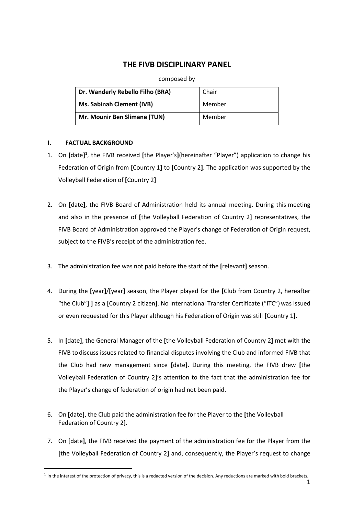## **THE FIVB DISCIPLINARY PANEL**

## composed by

| Dr. Wanderly Rebello Filho (BRA) | Chair  |
|----------------------------------|--------|
| Ms. Sabinah Clement (IVB)        | Member |
| Mr. Mounir Ben Slimane (TUN)     | Member |

## **I. FACTUAL BACKGROUND**

- 1. On [date]<sup>1</sup>, the FIVB received [the Player's](hereinafter "Player") application to change his Federation of Origin from **[**Country 1**]** to **[**Country 2**]**. The application was supported by the Volleyball Federation of **[**Country 2**]**
- 2. On **[**date**]**, the FIVB Board of Administration held its annual meeting. During this meeting and also in the presence of **[**the Volleyball Federation of Country 2**]** representatives, the FIVB Board of Administration approved the Player's change of Federation of Origin request, subject to the FIVB's receipt of the administration fee.
- 3. The administration fee was not paid before the start of the **[**relevant**]** season.
- 4. During the **[**year**]**/**[**year**]** season, the Player played for the **[**Club from Country 2, hereafter "the Club"**] ]** as a **[**Country 2 citizen**]**. No International Transfer Certificate ("ITC")was issued or even requested for this Player although his Federation of Origin was still **[**Country 1**]**.
- 5. In **[**date**]**, the General Manager of the **[**the Volleyball Federation of Country 2**]** met with the FIVB to discuss issues related to financial disputes involving the Club and informed FIVB that the Club had new management since **[**date**]**. During this meeting, the FIVB drew **[**the Volleyball Federation of Country 2**]**'s attention to the fact that the administration fee for the Player's change of federation of origin had not been paid.
- 6. On **[**date**]**, the Club paid the administration fee for the Player to the **[**the Volleyball Federation of Country 2**]**.
- 7. On **[**date**]**, the FIVB received the payment of the administration fee for the Player from the **[**the Volleyball Federation of Country 2**]** and, consequently, the Player's request to change

 $<sup>1</sup>$  In the interest of the protection of privacy, this is a redacted version of the decision. Any reductions are marked with bold brackets.</sup>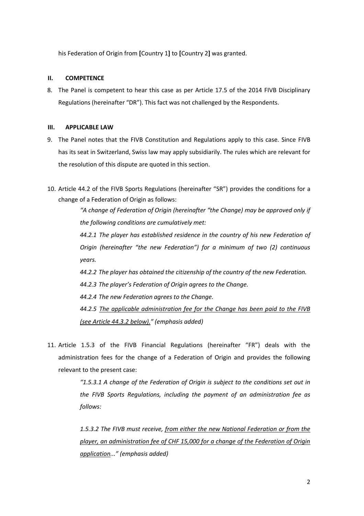his Federation of Origin from **[**Country 1**]** to **[**Country 2**]** was granted.

## **II. COMPETENCE**

8. The Panel is competent to hear this case as per Article 17.5 of the 2014 FIVB Disciplinary Regulations (hereinafter "DR"). This fact was not challenged by the Respondents.

#### **III. APPLICABLE LAW**

- 9. The Panel notes that the FIVB Constitution and Regulations apply to this case. Since FIVB has its seat in Switzerland, Swiss law may apply subsidiarily. The rules which are relevant for the resolution of this dispute are quoted in this section.
- 10. Article 44.2 of the FIVB Sports Regulations (hereinafter "SR") provides the conditions for a change of a Federation of Origin as follows:

*"A change of Federation of Origin (hereinafter "the Change) may be approved only if the following conditions are cumulatively met:*

*44.2.1 The player has established residence in the country of his new Federation of Origin (hereinafter "the new Federation") for a minimum of two (2) continuous years.*

*44.2.2 The player has obtained the citizenship of the country of the new Federation.*

*44.2.3 The player's Federation of Origin agrees to the Change.*

*44.2.4 The new Federation agrees to the Change.*

*44.2.5 The applicable administration fee for the Change has been paid to the FIVB (see Article 44.3.2 below)." (emphasis added)*

11. Article 1.5.3 of the FIVB Financial Regulations (hereinafter "FR") deals with the administration fees for the change of a Federation of Origin and provides the following relevant to the present case:

> *"1.5.3.1 A change of the Federation of Origin is subject to the conditions set out in the FIVB Sports Regulations, including the payment of an administration fee as follows:*

> *1.5.3.2 The FIVB must receive, from either the new National Federation or from the player, an administration fee of CHF 15,000 for a change of the Federation of Origin application..." (emphasis added)*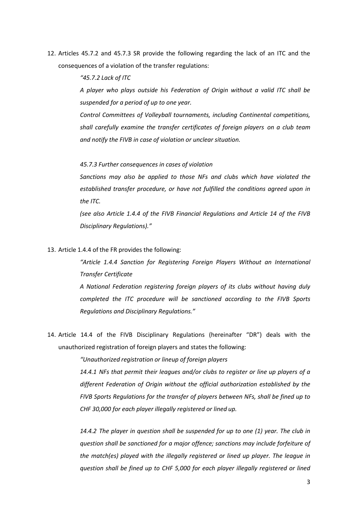12. Articles 45.7.2 and 45.7.3 SR provide the following regarding the lack of an ITC and the consequences of a violation of the transfer regulations:

*"45.7.2 Lack of ITC*

*A player who plays outside his Federation of Origin without a valid ITC shall be suspended for a period of up to one year.*

*Control Committees of Volleyball tournaments, including Continental competitions, shall carefully examine the transfer certificates of foreign players on a club team and notify the FIVB in case of violation or unclear situation.*

#### *45.7.3 Further consequences in cases of violation*

*Sanctions may also be applied to those NFs and clubs which have violated the established transfer procedure, or have not fulfilled the conditions agreed upon in the ITC.*

*(see also Article 1.4.4 of the FIVB Financial Regulations and Article 14 of the FIVB Disciplinary Regulations)."*

13. Article 1.4.4 of the FR provides the following:

*"Article 1.4.4 Sanction for Registering Foreign Players Without an International Transfer Certificate*

*A National Federation registering foreign players of its clubs without having duly completed the ITC procedure will be sanctioned according to the FIVB Sports Regulations and Disciplinary Regulations."*

14. Article 14.4 of the FIVB Disciplinary Regulations (hereinafter "DR") deals with the unauthorized registration of foreign players and states the following:

*"Unauthorized registration or lineup of foreign players*

*14.4.1 NFs that permit their leagues and/or clubs to register or line up players of a different Federation of Origin without the official authorization established by the FIVB Sports Regulations for the transfer of players between NFs, shall be fined up to CHF 30,000 for each player illegally registered or lined up.*

*14.4.2 The player in question shall be suspended for up to one (1) year. The club in question shall be sanctioned for a major offence; sanctions may include forfeiture of the match(es) played with the illegally registered or lined up player. The league in question shall be fined up to CHF 5,000 for each player illegally registered or lined*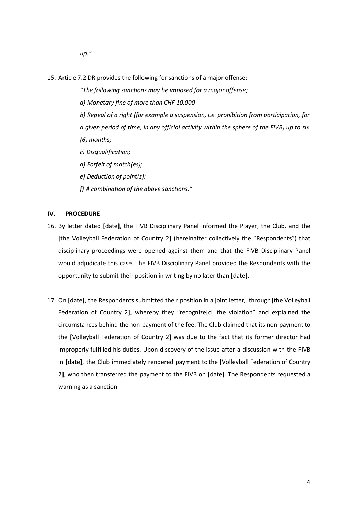- *up."*
- 15. Article 7.2 DR provides the following for sanctions of a major offense:
	- *"The following sanctions may be imposed for a major offense;*
	- *a) Monetary fine of more than CHF 10,000*
	- *b) Repeal of a right (for example a suspension, i.e. prohibition from participation, for a given period of time, in any official activity within the sphere of the FIVB) up to six (6) months;*
	- *c) Disqualification;*
	- *d) Forfeit of match(es);*
	- *e) Deduction of point(s);*
	- *f) A combination of the above sanctions."*

### **IV. PROCEDURE**

- 16. By letter dated **[**date**]**, the FIVB Disciplinary Panel informed the Player, the Club, and the **[**the Volleyball Federation of Country 2**]** (hereinafter collectively the "Respondents") that disciplinary proceedings were opened against them and that the FIVB Disciplinary Panel would adjudicate this case. The FIVB Disciplinary Panel provided the Respondents with the opportunity to submit their position in writing by no later than **[**date**]**.
- 17. On **[**date**]**, the Respondents submitted their position in a joint letter, through**[**the Volleyball Federation of Country 2**]**, whereby they "recognize[d] the violation" and explained the circumstances behind thenon-payment of the fee. The Club claimed that its non-payment to the **[**Volleyball Federation of Country 2**]** was due to the fact that its former director had improperly fulfilled his duties. Upon discovery of the issue after a discussion with the FIVB in **[**date**]**, the Club immediately rendered payment to the **[**Volleyball Federation of Country 2**]**, who then transferred the payment to the FIVB on **[**date**]**. The Respondents requested a warning as a sanction.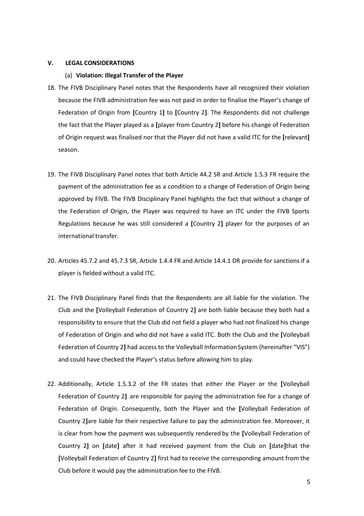#### **V. LEGAL CONSIDERATIONS**

#### (a) **Violation: Illegal Transfer of the Player**

- 18. The FIVB Disciplinary Panel notes that the Respondents have all recognized their violation because the FIVB administration fee was not paid in order to finalise the Player's change of Federation of Origin from **[**Country 1**]** to **[**Country 2**]**. The Respondents did not challenge the fact that the Player played as a **[**player from Country 2**]** before his change of Federation of Origin request was finalised nor that the Player did not have a valid ITC for the **[**relevant**]** season.
- 19. The FIVB Disciplinary Panel notes that both Article 44.2 SR and Article 1.5.3 FR require the payment of the administration fee as a condition to a change of Federation of Origin being approved by FIVB. The FIVB Disciplinary Panel highlights the fact that without a change of the Federation of Origin, the Player was required to have an ITC under the FIVB Sports Regulations because he was still considered a **[**Country 2**]** player for the purposes of an international transfer.
- 20. Articles 45.7.2 and 45.7.3 SR, Article 1.4.4 FR and Article 14.4.1 DR provide for sanctions if a player is fielded without a valid ITC.
- 21. The FIVB Disciplinary Panel finds that the Respondents are all liable for the violation. The Club and the **[**Volleyball Federation of Country 2**]** are both liable because they both had a responsibility to ensure that the Club did not field a player who had not finalized his change of Federation of Origin and who did not have a valid ITC. Both the Club and the **[**Volleyball Federation of Country 2] had access to the Volleyball Information System (hereinafter "VIS") and could have checked the Player's status before allowing him to play.
- 22. Additionally, Article 1.5.3.2 of the FR states that either the Player or the **[**Volleyball Federation of Country 2**]** are responsible for paying the administration fee for a change of Federation of Origin. Consequently, both the Player and the **[**Volleyball Federation of Country 2**]**are liable for their respective failure to pay the administration fee. Moreover, it is clear from how the payment was subsequently rendered by the **[**Volleyball Federation of Country 2**]** on **[**date**]** after it had received payment from the Club on **[**date**]**that the **[**Volleyball Federation of Country 2**]** first had to receive the corresponding amount from the Club before it would pay the administration fee to the FIVB.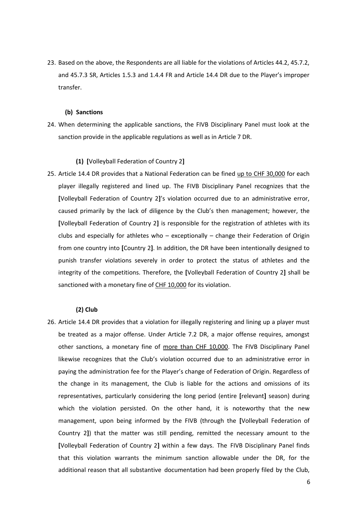23. Based on the above, the Respondents are all liable for the violations of Articles 44.2, 45.7.2, and 45.7.3 SR, Articles 1.5.3 and 1.4.4 FR and Article 14.4 DR due to the Player's improper transfer.

#### **(b) Sanctions**

24. When determining the applicable sanctions, the FIVB Disciplinary Panel must look at the sanction provide in the applicable regulations as well as in Article 7 DR.

#### **(1) [**Volleyball Federation of Country 2**]**

25. Article 14.4 DR provides that a National Federation can be fined up to CHF 30,000 for each player illegally registered and lined up. The FIVB Disciplinary Panel recognizes that the **[**Volleyball Federation of Country 2**]**'s violation occurred due to an administrative error, caused primarily by the lack of diligence by the Club's then management; however, the **[**Volleyball Federation of Country 2**]** is responsible for the registration of athletes with its clubs and especially for athletes who – exceptionally – change their Federation of Origin from one country into **[**Country 2**]**. In addition, the DR have been intentionally designed to punish transfer violations severely in order to protect the status of athletes and the integrity of the competitions. Therefore, the **[**Volleyball Federation of Country 2**]** shall be sanctioned with a monetary fine of CHF 10,000 for its violation.

#### **(2) Club**

26. Article 14.4 DR provides that a violation for illegally registering and lining up a player must be treated as a major offense. Under Article 7.2 DR, a major offense requires, amongst other sanctions, a monetary fine of more than CHF 10,000. The FIVB Disciplinary Panel likewise recognizes that the Club's violation occurred due to an administrative error in paying the administration fee for the Player's change of Federation of Origin. Regardless of the change in its management, the Club is liable for the actions and omissions of its representatives, particularly considering the long period (entire **[**relevant**]** season) during which the violation persisted. On the other hand, it is noteworthy that the new management, upon being informed by the FIVB (through the **[**Volleyball Federation of Country 2**]**) that the matter was still pending, remitted the necessary amount to the **[**Volleyball Federation of Country 2**]** within a few days. The FIVB Disciplinary Panel finds that this violation warrants the minimum sanction allowable under the DR, for the additional reason that all substantive documentation had been properly filed by the Club,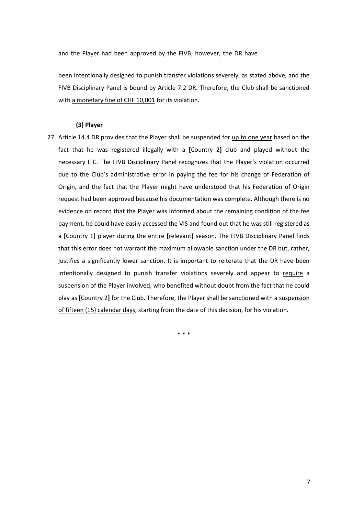and the Player had been approved by the FIVB; however, the DR have

been intentionally designed to punish transfer violations severely, as stated above, and the FIVB Disciplinary Panel is bound by Article 7.2 DR. Therefore, the Club shall be sanctioned with a monetary fine of CHF 10,001 for its violation.

#### **(3) Player**

27. Article 14.4 DR provides that the Player shall be suspended for up to one year based on the fact that he was registered illegally with a **[**Country 2**]** club and played without the necessary ITC. The FIVB Disciplinary Panel recognizes that the Player's violation occurred due to the Club's administrative error in paying the fee for his change of Federation of Origin, and the fact that the Player might have understood that his Federation of Origin request had been approved because his documentation was complete. Although there is no evidence on record that the Player was informed about the remaining condition of the fee payment, he could have easily accessed the VIS and found out that he was still registered as a **[**Country 1**]** player during the entire **[**relevant**]** season. The FIVB Disciplinary Panel finds that this error does not warrant the maximum allowable sanction under the DR but, rather, justifies a significantly lower sanction. It is important to reiterate that the DR have been intentionally designed to punish transfer violations severely and appear to require a suspension of the Player involved, who benefited without doubt from the fact that he could play as **[**Country 2**]** for the Club. Therefore, the Player shall be sanctioned with a suspension of fifteen (15) calendar days, starting from the date of this decision, for his violation.

\* \* \*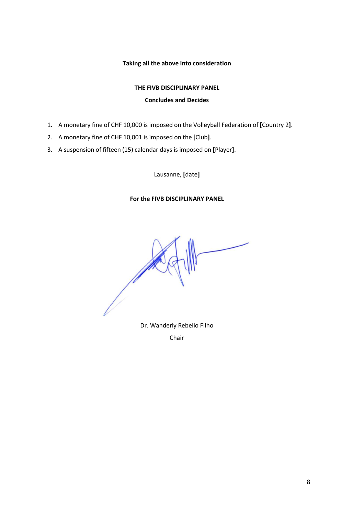## **Taking all the above into consideration**

# **THE FIVB DISCIPLINARY PANEL Concludes and Decides**

- 1. A monetary fine of CHF 10,000 is imposed on the Volleyball Federation of **[**Country 2**]**.
- 2. A monetary fine of CHF 10,001 is imposed on the **[**Club**]**.
- 3. A suspension of fifteen (15) calendar days is imposed on **[**Player**]**.

Lausanne, **[**date**]**

## **For the FIVB DISCIPLINARY PANEL**

Dr. Wanderly Rebello Filho

Chair